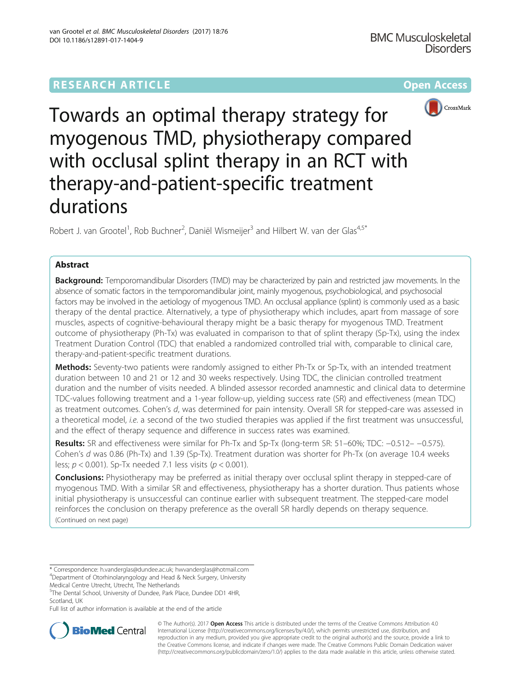# **RESEARCH ARTICLE Example 2014 12:30 The Community Community Community Community Community Community Community**



Towards an optimal therapy strategy for myogenous TMD, physiotherapy compared with occlusal splint therapy in an RCT with therapy-and-patient-specific treatment durations

Robert J. van Grootel<sup>1</sup>, Rob Buchner<sup>2</sup>, Daniël Wismeijer<sup>3</sup> and Hilbert W. van der Glas<sup>4,5\*</sup>

## Abstract

Background: Temporomandibular Disorders (TMD) may be characterized by pain and restricted jaw movements. In the absence of somatic factors in the temporomandibular joint, mainly myogenous, psychobiological, and psychosocial factors may be involved in the aetiology of myogenous TMD. An occlusal appliance (splint) is commonly used as a basic therapy of the dental practice. Alternatively, a type of physiotherapy which includes, apart from massage of sore muscles, aspects of cognitive-behavioural therapy might be a basic therapy for myogenous TMD. Treatment outcome of physiotherapy (Ph-Tx) was evaluated in comparison to that of splint therapy (Sp-Tx), using the index Treatment Duration Control (TDC) that enabled a randomized controlled trial with, comparable to clinical care, therapy-and-patient-specific treatment durations.

Methods: Seventy-two patients were randomly assigned to either Ph-Tx or Sp-Tx, with an intended treatment duration between 10 and 21 or 12 and 30 weeks respectively. Using TDC, the clinician controlled treatment duration and the number of visits needed. A blinded assessor recorded anamnestic and clinical data to determine TDC-values following treatment and a 1-year follow-up, yielding success rate (SR) and effectiveness (mean TDC) as treatment outcomes. Cohen's d, was determined for pain intensity. Overall SR for stepped-care was assessed in a theoretical model, i.e. a second of the two studied therapies was applied if the first treatment was unsuccessful, and the effect of therapy sequence and difference in success rates was examined.

Results: SR and effectiveness were similar for Ph-Tx and Sp-Tx (long-term SR: 51–60%; TDC: −0.512– −0.575). Cohen's d was 0.86 (Ph-Tx) and 1.39 (Sp-Tx). Treatment duration was shorter for Ph-Tx (on average 10.4 weeks less;  $p < 0.001$ ). Sp-Tx needed 7.1 less visits ( $p < 0.001$ ).

Conclusions: Physiotherapy may be preferred as initial therapy over occlusal splint therapy in stepped-care of myogenous TMD. With a similar SR and effectiveness, physiotherapy has a shorter duration. Thus patients whose initial physiotherapy is unsuccessful can continue earlier with subsequent treatment. The stepped-care model reinforces the conclusion on therapy preference as the overall SR hardly depends on therapy sequence. (Continued on next page)

Medical Centre Utrecht, Utrecht, The Netherlands

Full list of author information is available at the end of the article



© The Author(s). 2017 **Open Access** This article is distributed under the terms of the Creative Commons Attribution 4.0 International License [\(http://creativecommons.org/licenses/by/4.0/](http://creativecommons.org/licenses/by/4.0/)), which permits unrestricted use, distribution, and reproduction in any medium, provided you give appropriate credit to the original author(s) and the source, provide a link to the Creative Commons license, and indicate if changes were made. The Creative Commons Public Domain Dedication waiver [\(http://creativecommons.org/publicdomain/zero/1.0/](http://creativecommons.org/publicdomain/zero/1.0/)) applies to the data made available in this article, unless otherwise stated.

<sup>\*</sup> Correspondence: [h.vanderglas@dundee.ac.uk;](mailto:h.vanderglas@dundee.ac.uk) [hwvanderglas@hotmail.com](mailto:hwvanderglas@hotmail.com) <sup>4</sup> <sup>4</sup>Department of Otorhinolaryngology and Head & Neck Surgery, University

<sup>&</sup>lt;sup>5</sup>The Dental School, University of Dundee, Park Place, Dundee DD1 4HR, Scotland, UK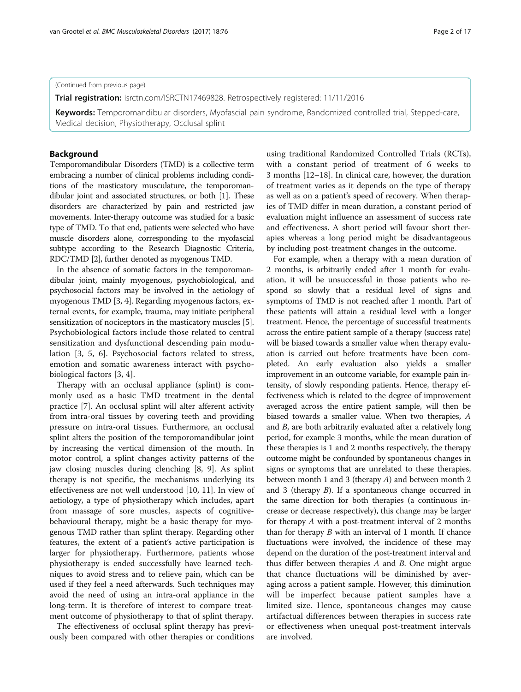#### (Continued from previous page)

Trial registration: [isrctn.com/ISRCTN17469828](http://www.isrctn.com/ISRCTN17469828). Retrospectively registered: 11/11/2016

Keywords: Temporomandibular disorders, Myofascial pain syndrome, Randomized controlled trial, Stepped-care, Medical decision, Physiotherapy, Occlusal splint

## Background

Temporomandibular Disorders (TMD) is a collective term embracing a number of clinical problems including conditions of the masticatory musculature, the temporomandibular joint and associated structures, or both [\[1](#page-15-0)]. These disorders are characterized by pain and restricted jaw movements. Inter-therapy outcome was studied for a basic type of TMD. To that end, patients were selected who have muscle disorders alone, corresponding to the myofascial subtype according to the Research Diagnostic Criteria, RDC/TMD [\[2](#page-15-0)], further denoted as myogenous TMD.

In the absence of somatic factors in the temporomandibular joint, mainly myogenous, psychobiological, and psychosocial factors may be involved in the aetiology of myogenous TMD [[3, 4](#page-15-0)]. Regarding myogenous factors, external events, for example, trauma, may initiate peripheral sensitization of nociceptors in the masticatory muscles [[5](#page-15-0)]. Psychobiological factors include those related to central sensitization and dysfunctional descending pain modulation [[3, 5, 6\]](#page-15-0). Psychosocial factors related to stress, emotion and somatic awareness interact with psychobiological factors [[3, 4](#page-15-0)].

Therapy with an occlusal appliance (splint) is commonly used as a basic TMD treatment in the dental practice [[7](#page-15-0)]. An occlusal splint will alter afferent activity from intra-oral tissues by covering teeth and providing pressure on intra-oral tissues. Furthermore, an occlusal splint alters the position of the temporomandibular joint by increasing the vertical dimension of the mouth. In motor control, a splint changes activity patterns of the jaw closing muscles during clenching [\[8, 9\]](#page-15-0). As splint therapy is not specific, the mechanisms underlying its effectiveness are not well understood [[10, 11\]](#page-15-0). In view of aetiology, a type of physiotherapy which includes, apart from massage of sore muscles, aspects of cognitivebehavioural therapy, might be a basic therapy for myogenous TMD rather than splint therapy. Regarding other features, the extent of a patient's active participation is larger for physiotherapy. Furthermore, patients whose physiotherapy is ended successfully have learned techniques to avoid stress and to relieve pain, which can be used if they feel a need afterwards. Such techniques may avoid the need of using an intra-oral appliance in the long-term. It is therefore of interest to compare treatment outcome of physiotherapy to that of splint therapy.

The effectiveness of occlusal splint therapy has previously been compared with other therapies or conditions using traditional Randomized Controlled Trials (RCTs), with a constant period of treatment of 6 weeks to 3 months [[12](#page-16-0)–[18](#page-16-0)]. In clinical care, however, the duration of treatment varies as it depends on the type of therapy as well as on a patient's speed of recovery. When therapies of TMD differ in mean duration, a constant period of evaluation might influence an assessment of success rate and effectiveness. A short period will favour short therapies whereas a long period might be disadvantageous by including post-treatment changes in the outcome.

For example, when a therapy with a mean duration of 2 months, is arbitrarily ended after 1 month for evaluation, it will be unsuccessful in those patients who respond so slowly that a residual level of signs and symptoms of TMD is not reached after 1 month. Part of these patients will attain a residual level with a longer treatment. Hence, the percentage of successful treatments across the entire patient sample of a therapy (success rate) will be biased towards a smaller value when therapy evaluation is carried out before treatments have been completed. An early evaluation also yields a smaller improvement in an outcome variable, for example pain intensity, of slowly responding patients. Hence, therapy effectiveness which is related to the degree of improvement averaged across the entire patient sample, will then be biased towards a smaller value. When two therapies, A and B, are both arbitrarily evaluated after a relatively long period, for example 3 months, while the mean duration of these therapies is 1 and 2 months respectively, the therapy outcome might be confounded by spontaneous changes in signs or symptoms that are unrelated to these therapies, between month 1 and 3 (therapy  $A$ ) and between month 2 and 3 (therapy B). If a spontaneous change occurred in the same direction for both therapies (a continuous increase or decrease respectively), this change may be larger for therapy A with a post-treatment interval of 2 months than for therapy  $B$  with an interval of 1 month. If chance fluctuations were involved, the incidence of these may depend on the duration of the post-treatment interval and thus differ between therapies  $A$  and  $B$ . One might argue that chance fluctuations will be diminished by averaging across a patient sample. However, this diminution will be imperfect because patient samples have a limited size. Hence, spontaneous changes may cause artifactual differences between therapies in success rate or effectiveness when unequal post-treatment intervals are involved.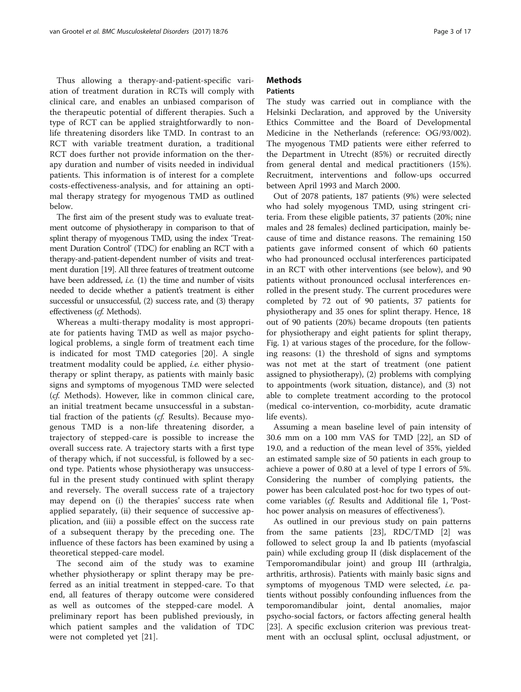Thus allowing a therapy-and-patient-specific variation of treatment duration in RCTs will comply with clinical care, and enables an unbiased comparison of the therapeutic potential of different therapies. Such a type of RCT can be applied straightforwardly to nonlife threatening disorders like TMD. In contrast to an RCT with variable treatment duration, a traditional RCT does further not provide information on the therapy duration and number of visits needed in individual patients. This information is of interest for a complete costs-effectiveness-analysis, and for attaining an optimal therapy strategy for myogenous TMD as outlined below.

The first aim of the present study was to evaluate treatment outcome of physiotherapy in comparison to that of splint therapy of myogenous TMD, using the index 'Treatment Duration Control' (TDC) for enabling an RCT with a therapy-and-patient-dependent number of visits and treatment duration [\[19\]](#page-16-0). All three features of treatment outcome have been addressed, *i.e.* (1) the time and number of visits needed to decide whether a patient's treatment is either successful or unsuccessful, (2) success rate, and (3) therapy effectiveness (cf. Methods).

Whereas a multi-therapy modality is most appropriate for patients having TMD as well as major psychological problems, a single form of treatment each time is indicated for most TMD categories [\[20](#page-16-0)]. A single treatment modality could be applied, i.e. either physiotherapy or splint therapy, as patients with mainly basic signs and symptoms of myogenous TMD were selected (cf. Methods). However, like in common clinical care, an initial treatment became unsuccessful in a substantial fraction of the patients (cf. [Results](#page-8-0)). Because myogenous TMD is a non-life threatening disorder, a trajectory of stepped-care is possible to increase the overall success rate. A trajectory starts with a first type of therapy which, if not successful, is followed by a second type. Patients whose physiotherapy was unsuccessful in the present study continued with splint therapy and reversely. The overall success rate of a trajectory may depend on (i) the therapies' success rate when applied separately, (ii) their sequence of successive application, and (iii) a possible effect on the success rate of a subsequent therapy by the preceding one. The influence of these factors has been examined by using a theoretical stepped-care model.

The second aim of the study was to examine whether physiotherapy or splint therapy may be preferred as an initial treatment in stepped-care. To that end, all features of therapy outcome were considered as well as outcomes of the stepped-care model. A preliminary report has been published previously, in which patient samples and the validation of TDC were not completed yet [[21\]](#page-16-0).

## **Methods**

## **Patients**

The study was carried out in compliance with the Helsinki Declaration, and approved by the University Ethics Committee and the Board of Developmental Medicine in the Netherlands (reference: OG/93/002). The myogenous TMD patients were either referred to the Department in Utrecht (85%) or recruited directly from general dental and medical practitioners (15%). Recruitment, interventions and follow-ups occurred between April 1993 and March 2000.

Out of 2078 patients, 187 patients (9%) were selected who had solely myogenous TMD, using stringent criteria. From these eligible patients, 37 patients (20%; nine males and 28 females) declined participation, mainly because of time and distance reasons. The remaining 150 patients gave informed consent of which 60 patients who had pronounced occlusal interferences participated in an RCT with other interventions (see below), and 90 patients without pronounced occlusal interferences enrolled in the present study. The current procedures were completed by 72 out of 90 patients, 37 patients for physiotherapy and 35 ones for splint therapy. Hence, 18 out of 90 patients (20%) became dropouts (ten patients for physiotherapy and eight patients for splint therapy, Fig. [1](#page-3-0)) at various stages of the procedure, for the following reasons: (1) the threshold of signs and symptoms was not met at the start of treatment (one patient assigned to physiotherapy), (2) problems with complying to appointments (work situation, distance), and (3) not able to complete treatment according to the protocol (medical co-intervention, co-morbidity, acute dramatic life events).

Assuming a mean baseline level of pain intensity of 30.6 mm on a 100 mm VAS for TMD [\[22\]](#page-16-0), an SD of 19.0, and a reduction of the mean level of 35%, yielded an estimated sample size of 50 patients in each group to achieve a power of 0.80 at a level of type I errors of 5%. Considering the number of complying patients, the power has been calculated post-hoc for two types of outcome variables (cf. [Results](#page-8-0) and Additional file [1](#page-15-0), 'Posthoc power analysis on measures of effectiveness').

As outlined in our previous study on pain patterns from the same patients [\[23](#page-16-0)], RDC/TMD [\[2](#page-15-0)] was followed to select group Ia and Ib patients (myofascial pain) while excluding group II (disk displacement of the Temporomandibular joint) and group III (arthralgia, arthritis, arthrosis). Patients with mainly basic signs and symptoms of myogenous TMD were selected, i.e. patients without possibly confounding influences from the temporomandibular joint, dental anomalies, major psycho-social factors, or factors affecting general health [[23\]](#page-16-0). A specific exclusion criterion was previous treatment with an occlusal splint, occlusal adjustment, or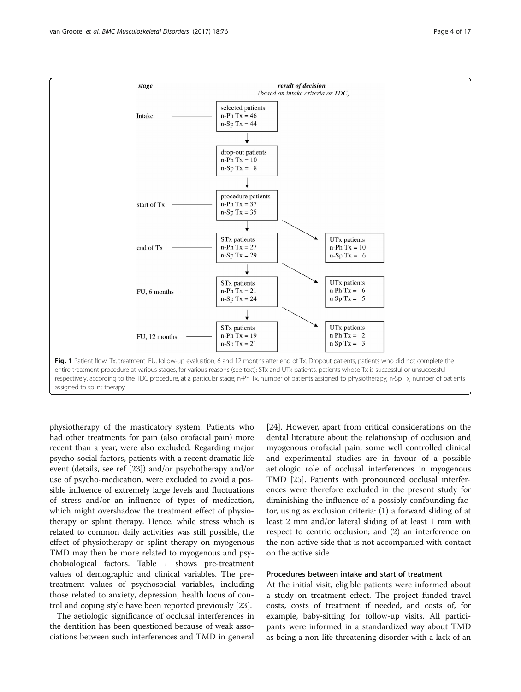physiotherapy of the masticatory system. Patients who had other treatments for pain (also orofacial pain) more recent than a year, were also excluded. Regarding major psycho-social factors, patients with a recent dramatic life event (details, see ref [[23](#page-16-0)]) and/or psychotherapy and/or use of psycho-medication, were excluded to avoid a possible influence of extremely large levels and fluctuations of stress and/or an influence of types of medication, which might overshadow the treatment effect of physiotherapy or splint therapy. Hence, while stress which is related to common daily activities was still possible, the effect of physiotherapy or splint therapy on myogenous TMD may then be more related to myogenous and psychobiological factors. Table [1](#page-4-0) shows pre-treatment values of demographic and clinical variables. The pretreatment values of psychosocial variables, including those related to anxiety, depression, health locus of control and coping style have been reported previously [[23\]](#page-16-0).

The aetiologic significance of occlusal interferences in the dentition has been questioned because of weak associations between such interferences and TMD in general

[[24\]](#page-16-0). However, apart from critical considerations on the dental literature about the relationship of occlusion and myogenous orofacial pain, some well controlled clinical and experimental studies are in favour of a possible aetiologic role of occlusal interferences in myogenous TMD [\[25\]](#page-16-0). Patients with pronounced occlusal interferences were therefore excluded in the present study for diminishing the influence of a possibly confounding factor, using as exclusion criteria: (1) a forward sliding of at least 2 mm and/or lateral sliding of at least 1 mm with respect to centric occlusion; and (2) an interference on the non-active side that is not accompanied with contact on the active side.

## Procedures between intake and start of treatment

At the initial visit, eligible patients were informed about a study on treatment effect. The project funded travel costs, costs of treatment if needed, and costs of, for example, baby-sitting for follow-up visits. All participants were informed in a standardized way about TMD as being a non-life threatening disorder with a lack of an



<span id="page-3-0"></span>van Grootel et al. BMC Musculoskeletal Disorders (2017) 18:76 Page 4 of 17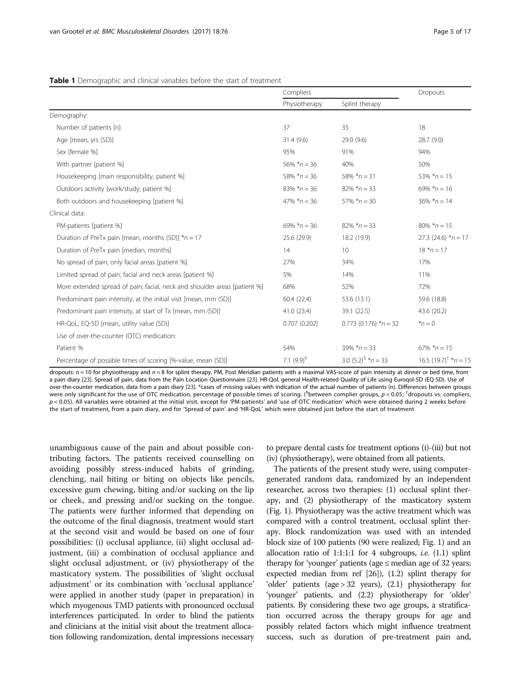|                                                                           | Compliers         |                            | Dropouts             |  |
|---------------------------------------------------------------------------|-------------------|----------------------------|----------------------|--|
|                                                                           | Physiotherapy     | Splint therapy             |                      |  |
| Demography:                                                               |                   |                            |                      |  |
| Number of patients [n]                                                    | 37                | 35                         | 18                   |  |
| Age [mean, yrs (SD)]                                                      | 31.4 (9.6)        | 29.0 (9.6)                 | 28.7 (9.0)           |  |
| Sex Ifemale %]                                                            | 95%               | 91%                        | 94%                  |  |
| With partner [patient %]                                                  | $56\%$ * $n = 36$ | 40%                        | 50%                  |  |
| Housekeeping [main responsibility, patient %]                             | $58\%$ * $n = 36$ | 58% $n = 31$               | $53\%$ * $n = 15$    |  |
| Outdoors activity [work/study; patient %]                                 | $83\%$ * $n = 36$ | $82\%$ * $n = 33$          | 69% $n = 16$         |  |
| Both outdoors and housekeeping [patient %]                                | $47\%$ * $n = 36$ | $57\%$ * $n = 30$          | $36\%$ * $n = 14$    |  |
| Clinical data:                                                            |                   |                            |                      |  |
| PM-patients [patient %]                                                   | 69% $n = 36$      | $82\%$ *n = 33             | $80\%$ * $n = 15$    |  |
| Duration of PreTx pain [mean, months (SD)] $*n = 17$                      | 25.6 (29.9)       | 18.2 (19.9)                | 27.3 (24.6) $n = 17$ |  |
| Duration of PreTx pain [median, months]                                   | 14                | 10                         | $18 * n = 17$        |  |
| No spread of pain; only facial areas [patient %]                          | 27%               | 34%                        | 17%                  |  |
| Limited spread of pain; facial and neck areas [patient %]                 | 5%                | 14%                        | 11%                  |  |
| More extended spread of pain; facial, neck and shoulder areas [patient %] | 68%               | 52%                        | 72%                  |  |
| Predominant pain intensity, at the initial visit [mean, mm (SD)]          | 60.4(22.4)        | 53.6 (13.1)                | 59.6 (18.8)          |  |
| Predominant pain intensity, at start of Tx [mean, mm (SD)]                | 41.0 (23.4)       | 39.1 (22.5)                | 43.6 (20.2)          |  |
| HR-QoL, EQ-5D [mean, utility value (SD)]                                  | 0.707(0.202)      | $0.773$ (0.176) * $n = 32$ | $n = 0$              |  |
| Use of over-the-counter (OTC) medication:                                 |                   |                            |                      |  |
| Patient %                                                                 | 54%               | $39\% * n = 33$            | $67\%$ * $n = 15$    |  |

#### <span id="page-4-0"></span>Table 1 Demographic and clinical variables before the start of treatment

dropouts:  $n = 10$  for physiotherapy and  $n = 8$  for splint therapy. PM, Post Meridian patients with a maximal VAS-score of pain intensity at dinner or bed time, from a pain diary [[23\]](#page-16-0). Spread of pain, data from the Pain Location Questionnaire [[23\]](#page-16-0). HR-Qol, general Health-related Quality of Life using Euroqol-5D (EQ-5D). Use of over-the-counter medication, data from a pain diary [\[23](#page-16-0)]. \*cases of missing values with indication of the actual number of patients (n). Differences between groups were only significant for the use of OTC medication, percentage of possible times of scoring. (<sup>§</sup>between complier groups,  $p < 0.05$ ; <sup>†</sup>dropouts vs. compliers,  $p$  < 0.05). All variables were obtained at the initial visit, except for 'PM-patients' and 'use of OTC medication' which were obtained during 2 weeks before the start of treatment, from a pain diary, and for 'Spread of pain' and 'HR-QoL' which were obtained just before the start of treatment

Percentage of possible times of scoring [%-value, mean (SD)]  $7.1 (9.9)^{6}$   $3.0 (5.2)^{6}$   $* n = 33$   $16.5 (19.7)^{1}$   $* n = 15$ 

unambiguous cause of the pain and about possible contributing factors. The patients received counselling on avoiding possibly stress-induced habits of grinding, clenching, nail biting or biting on objects like pencils, excessive gum chewing, biting and/or sucking on the lip or cheek, and pressing and/or sucking on the tongue. The patients were further informed that depending on the outcome of the final diagnosis, treatment would start at the second visit and would be based on one of four possibilities: (i) occlusal appliance, (ii) slight occlusal adjustment, (iii) a combination of occlusal appliance and slight occlusal adjustment, or (iv) physiotherapy of the masticatory system. The possibilities of 'slight occlusal adjustment' or its combination with 'occlusal appliance' were applied in another study (paper in preparation) in which myogenous TMD patients with pronounced occlusal interferences participated. In order to blind the patients and clinicians at the initial visit about the treatment allocation following randomization, dental impressions necessary to prepare dental casts for treatment options (i)-(iii) but not (iv) (physiotherapy), were obtained from all patients.

The patients of the present study were, using computergenerated random data, randomized by an independent researcher, across two therapies: (1) occlusal splint therapy, and (2) physiotherapy of the masticatory system (Fig. [1\)](#page-3-0). Physiotherapy was the active treatment which was compared with a control treatment, occlusal splint therapy. Block randomization was used with an intended block size of 100 patients (90 were realized; Fig. [1](#page-3-0)) and an allocation ratio of 1:1:1:1 for 4 subgroups, *i.e.*  $(1.1)$  splint therapy for 'younger' patients (age  $\leq$  median age of 32 years; expected median from ref [\[26\]](#page-16-0)), (1.2) splint therapy for 'older' patients (age > 32 years), (2.1) physiotherapy for 'younger' patients, and (2.2) physiotherapy for 'older' patients. By considering these two age groups, a stratification occurred across the therapy groups for age and possibly related factors which might influence treatment success, such as duration of pre-treatment pain and,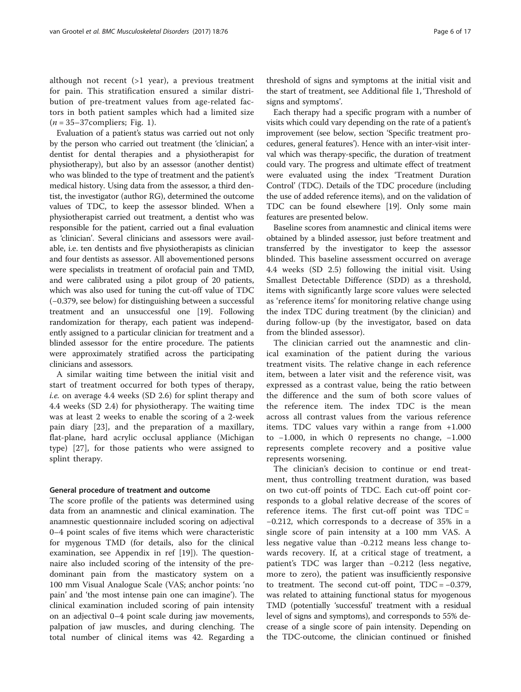although not recent (>1 year), a previous treatment for pain. This stratification ensured a similar distribution of pre-treatment values from age-related factors in both patient samples which had a limited size  $(n = 35-37$ compliers; Fig. [1](#page-3-0)).

Evaluation of a patient's status was carried out not only by the person who carried out treatment (the 'clinician', a dentist for dental therapies and a physiotherapist for physiotherapy), but also by an assessor (another dentist) who was blinded to the type of treatment and the patient's medical history. Using data from the assessor, a third dentist, the investigator (author RG), determined the outcome values of TDC, to keep the assessor blinded. When a physiotherapist carried out treatment, a dentist who was responsible for the patient, carried out a final evaluation as 'clinician'. Several clinicians and assessors were available, i.e. ten dentists and five physiotherapists as clinician and four dentists as assessor. All abovementioned persons were specialists in treatment of orofacial pain and TMD, and were calibrated using a pilot group of 20 patients, which was also used for tuning the cut-off value of TDC (−0.379, see below) for distinguishing between a successful treatment and an unsuccessful one [\[19](#page-16-0)]. Following randomization for therapy, each patient was independently assigned to a particular clinician for treatment and a blinded assessor for the entire procedure. The patients were approximately stratified across the participating clinicians and assessors.

A similar waiting time between the initial visit and start of treatment occurred for both types of therapy, i.e. on average 4.4 weeks (SD 2.6) for splint therapy and 4.4 weeks (SD 2.4) for physiotherapy. The waiting time was at least 2 weeks to enable the scoring of a 2-week pain diary [\[23](#page-16-0)], and the preparation of a maxillary, flat-plane, hard acrylic occlusal appliance (Michigan type) [[27\]](#page-16-0), for those patients who were assigned to splint therapy.

#### General procedure of treatment and outcome

The score profile of the patients was determined using data from an anamnestic and clinical examination. The anamnestic questionnaire included scoring on adjectival 0–4 point scales of five items which were characteristic for mygenous TMD (for details, also for the clinical examination, see Appendix in ref [[19\]](#page-16-0)). The questionnaire also included scoring of the intensity of the predominant pain from the masticatory system on a 100 mm Visual Analogue Scale (VAS; anchor points: 'no pain' and 'the most intense pain one can imagine'). The clinical examination included scoring of pain intensity on an adjectival 0–4 point scale during jaw movements, palpation of jaw muscles, and during clenching. The total number of clinical items was 42. Regarding a threshold of signs and symptoms at the initial visit and the start of treatment, see Additional file [1,](#page-15-0) 'Threshold of

Each therapy had a specific program with a number of visits which could vary depending on the rate of a patient's improvement (see below, section 'Specific treatment procedures, general features'). Hence with an inter-visit interval which was therapy-specific, the duration of treatment could vary. The progress and ultimate effect of treatment were evaluated using the index 'Treatment Duration Control' (TDC). Details of the TDC procedure (including the use of added reference items), and on the validation of TDC can be found elsewhere [\[19\]](#page-16-0). Only some main features are presented below.

signs and symptoms'.

Baseline scores from anamnestic and clinical items were obtained by a blinded assessor, just before treatment and transferred by the investigator to keep the assessor blinded. This baseline assessment occurred on average 4.4 weeks (SD 2.5) following the initial visit. Using Smallest Detectable Difference (SDD) as a threshold, items with significantly large score values were selected as 'reference items' for monitoring relative change using the index TDC during treatment (by the clinician) and during follow-up (by the investigator, based on data from the blinded assessor).

The clinician carried out the anamnestic and clinical examination of the patient during the various treatment visits. The relative change in each reference item, between a later visit and the reference visit, was expressed as a contrast value, being the ratio between the difference and the sum of both score values of the reference item. The index TDC is the mean across all contrast values from the various reference items. TDC values vary within a range from +1.000 to −1.000, in which 0 represents no change, −1.000 represents complete recovery and a positive value represents worsening.

The clinician's decision to continue or end treatment, thus controlling treatment duration, was based on two cut-off points of TDC. Each cut-off point corresponds to a global relative decrease of the scores of reference items. The first cut-off point was TDC = −0.212, which corresponds to a decrease of 35% in a single score of pain intensity at a 100 mm VAS. A less negative value than -0.212 means less change towards recovery. If, at a critical stage of treatment, a patient's TDC was larger than −0.212 (less negative, more to zero), the patient was insufficiently responsive to treatment. The second cut-off point, TDC = −0.379, was related to attaining functional status for myogenous TMD (potentially 'successful' treatment with a residual level of signs and symptoms), and corresponds to 55% decrease of a single score of pain intensity. Depending on the TDC-outcome, the clinician continued or finished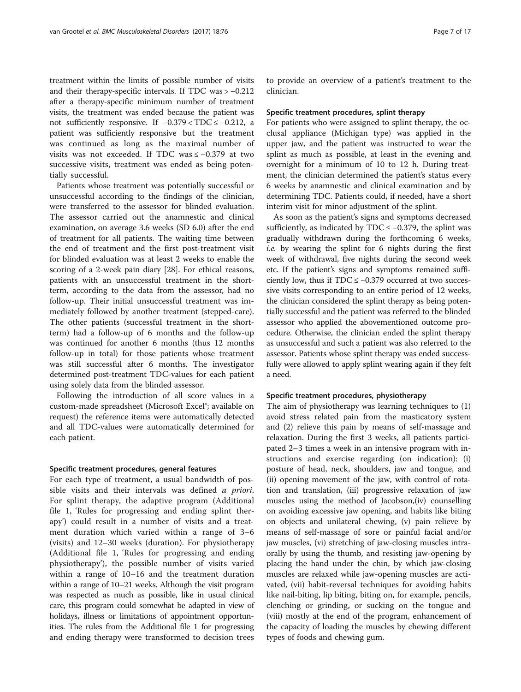treatment within the limits of possible number of visits and their therapy-specific intervals. If TDC was > −0.212 after a therapy-specific minimum number of treatment visits, the treatment was ended because the patient was not sufficiently responsive. If −0.379 < TDC ≤ −0.212, a patient was sufficiently responsive but the treatment was continued as long as the maximal number of visits was not exceeded. If TDC was ≤ −0.379 at two successive visits, treatment was ended as being potentially successful.

Patients whose treatment was potentially successful or unsuccessful according to the findings of the clinician, were transferred to the assessor for blinded evaluation. The assessor carried out the anamnestic and clinical examination, on average 3.6 weeks (SD 6.0) after the end of treatment for all patients. The waiting time between the end of treatment and the first post-treatment visit for blinded evaluation was at least 2 weeks to enable the scoring of a 2-week pain diary [[28\]](#page-16-0). For ethical reasons, patients with an unsuccessful treatment in the shortterm, according to the data from the assessor, had no follow-up. Their initial unsuccessful treatment was immediately followed by another treatment (stepped-care). The other patients (successful treatment in the shortterm) had a follow-up of 6 months and the follow-up was continued for another 6 months (thus 12 months follow-up in total) for those patients whose treatment was still successful after 6 months. The investigator determined post-treatment TDC-values for each patient using solely data from the blinded assessor.

Following the introduction of all score values in a custom-made spreadsheet (Microsoft Excel®; available on request) the reference items were automatically detected and all TDC-values were automatically determined for each patient.

#### Specific treatment procedures, general features

For each type of treatment, a usual bandwidth of possible visits and their intervals was defined a priori. For splint therapy, the adaptive program (Additional file [1,](#page-15-0) 'Rules for progressing and ending splint therapy') could result in a number of visits and a treatment duration which varied within a range of 3–6 (visits) and 12–30 weeks (duration). For physiotherapy (Additional file [1](#page-15-0), 'Rules for progressing and ending physiotherapy'), the possible number of visits varied within a range of 10–16 and the treatment duration within a range of 10–21 weeks. Although the visit program was respected as much as possible, like in usual clinical care, this program could somewhat be adapted in view of holidays, illness or limitations of appointment opportunities. The rules from the Additional file [1](#page-15-0) for progressing and ending therapy were transformed to decision trees to provide an overview of a patient's treatment to the clinician.

#### Specific treatment procedures, splint therapy

For patients who were assigned to splint therapy, the occlusal appliance (Michigan type) was applied in the upper jaw, and the patient was instructed to wear the splint as much as possible, at least in the evening and overnight for a minimum of 10 to 12 h. During treatment, the clinician determined the patient's status every 6 weeks by anamnestic and clinical examination and by determining TDC. Patients could, if needed, have a short interim visit for minor adjustment of the splint.

As soon as the patient's signs and symptoms decreased sufficiently, as indicated by  $TDC \le -0.379$ , the splint was gradually withdrawn during the forthcoming 6 weeks, i.e. by wearing the splint for 6 nights during the first week of withdrawal, five nights during the second week etc. If the patient's signs and symptoms remained sufficiently low, thus if  $TDC \le -0.379$  occurred at two successive visits corresponding to an entire period of 12 weeks, the clinician considered the splint therapy as being potentially successful and the patient was referred to the blinded assessor who applied the abovementioned outcome procedure. Otherwise, the clinician ended the splint therapy as unsuccessful and such a patient was also referred to the assessor. Patients whose splint therapy was ended successfully were allowed to apply splint wearing again if they felt a need.

## Specific treatment procedures, physiotherapy

The aim of physiotherapy was learning techniques to (1) avoid stress related pain from the masticatory system and (2) relieve this pain by means of self-massage and relaxation. During the first 3 weeks, all patients participated 2–3 times a week in an intensive program with instructions and exercise regarding (on indication): (i) posture of head, neck, shoulders, jaw and tongue, and (ii) opening movement of the jaw, with control of rotation and translation, (iii) progressive relaxation of jaw muscles using the method of Jacobson,(iv) counselling on avoiding excessive jaw opening, and habits like biting on objects and unilateral chewing, (v) pain relieve by means of self-massage of sore or painful facial and/or jaw muscles, (vi) stretching of jaw-closing muscles intraorally by using the thumb, and resisting jaw-opening by placing the hand under the chin, by which jaw-closing muscles are relaxed while jaw-opening muscles are activated, (vii) habit-reversal techniques for avoiding habits like nail-biting, lip biting, biting on, for example, pencils, clenching or grinding, or sucking on the tongue and (viii) mostly at the end of the program, enhancement of the capacity of loading the muscles by chewing different types of foods and chewing gum.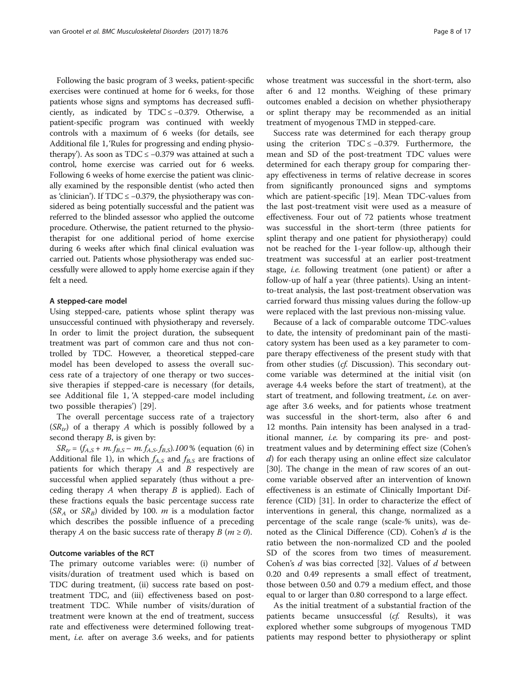Following the basic program of 3 weeks, patient-specific exercises were continued at home for 6 weeks, for those patients whose signs and symptoms has decreased sufficiently, as indicated by TDC  $\leq -0.379$ . Otherwise, a patient-specific program was continued with weekly controls with a maximum of 6 weeks (for details, see Additional file [1](#page-15-0), 'Rules for progressing and ending physiotherapy'). As soon as  $TDC \le -0.379$  was attained at such a control, home exercise was carried out for 6 weeks. Following 6 weeks of home exercise the patient was clinically examined by the responsible dentist (who acted then as 'clinician'). If  $TDC \le -0.379$ , the physiotherapy was considered as being potentially successful and the patient was referred to the blinded assessor who applied the outcome procedure. Otherwise, the patient returned to the physiotherapist for one additional period of home exercise during 6 weeks after which final clinical evaluation was carried out. Patients whose physiotherapy was ended successfully were allowed to apply home exercise again if they felt a need.

### A stepped-care model

Using stepped-care, patients whose splint therapy was unsuccessful continued with physiotherapy and reversely. In order to limit the project duration, the subsequent treatment was part of common care and thus not controlled by TDC. However, a theoretical stepped-care model has been developed to assess the overall success rate of a trajectory of one therapy or two successive therapies if stepped-care is necessary (for details, see Additional file [1](#page-15-0), 'A stepped-care model including two possible therapies') [\[29](#page-16-0)].

The overall percentage success rate of a trajectory  $(SR_{tr})$  of a therapy A which is possibly followed by a second therapy  $B$ , is given by:

 $SR_{tr} = (f_{A,S} + m.f_{B,S} - m.f_{A,S}.f_{B,S}).100\%$  (equation (6) in Additional file [1](#page-15-0)), in which  $f_{A,S}$  and  $f_{B,S}$  are fractions of patients for which therapy  $A$  and  $B$  respectively are successful when applied separately (thus without a preceding therapy  $A$  when therapy  $B$  is applied). Each of these fractions equals the basic percentage success rate  $(SR_A \text{ or } SR_B)$  divided by 100. *m* is a modulation factor which describes the possible influence of a preceding therapy A on the basic success rate of therapy B ( $m \ge 0$ ).

## Outcome variables of the RCT

The primary outcome variables were: (i) number of visits/duration of treatment used which is based on TDC during treatment, (ii) success rate based on posttreatment TDC, and (iii) effectiveness based on posttreatment TDC. While number of visits/duration of treatment were known at the end of treatment, success rate and effectiveness were determined following treatment, *i.e.* after on average 3.6 weeks, and for patients

whose treatment was successful in the short-term, also after 6 and 12 months. Weighing of these primary outcomes enabled a decision on whether physiotherapy or splint therapy may be recommended as an initial treatment of myogenous TMD in stepped-care.

Success rate was determined for each therapy group using the criterion TDC ≤ −0.379. Furthermore, the mean and SD of the post-treatment TDC values were determined for each therapy group for comparing therapy effectiveness in terms of relative decrease in scores from significantly pronounced signs and symptoms which are patient-specific [[19\]](#page-16-0). Mean TDC-values from the last post-treatment visit were used as a measure of effectiveness. Four out of 72 patients whose treatment was successful in the short-term (three patients for splint therapy and one patient for physiotherapy) could not be reached for the 1-year follow-up, although their treatment was successful at an earlier post-treatment stage, i.e. following treatment (one patient) or after a follow-up of half a year (three patients). Using an intentto-treat analysis, the last post-treatment observation was carried forward thus missing values during the follow-up were replaced with the last previous non-missing value.

Because of a lack of comparable outcome TDC-values to date, the intensity of predominant pain of the masticatory system has been used as a key parameter to compare therapy effectiveness of the present study with that from other studies (cf. [Discussion\)](#page-11-0). This secondary outcome variable was determined at the initial visit (on average 4.4 weeks before the start of treatment), at the start of treatment, and following treatment, *i.e.* on average after 3.6 weeks, and for patients whose treatment was successful in the short-term, also after 6 and 12 months. Pain intensity has been analysed in a traditional manner, *i.e.* by comparing its pre- and posttreatment values and by determining effect size (Cohen's d) for each therapy using an online effect size calculator [[30\]](#page-16-0). The change in the mean of raw scores of an outcome variable observed after an intervention of known effectiveness is an estimate of Clinically Important Difference (CID) [[31\]](#page-16-0). In order to characterize the effect of interventions in general, this change, normalized as a percentage of the scale range (scale-% units), was denoted as the Clinical Difference (CD). Cohen's d is the ratio between the non-normalized CD and the pooled SD of the scores from two times of measurement. Cohen's d was bias corrected [\[32](#page-16-0)]. Values of d between 0.20 and 0.49 represents a small effect of treatment, those between 0.50 and 0.79 a medium effect, and those equal to or larger than 0.80 correspond to a large effect.

As the initial treatment of a substantial fraction of the patients became unsuccessful (cf. [Results](#page-8-0)), it was explored whether some subgroups of myogenous TMD patients may respond better to physiotherapy or splint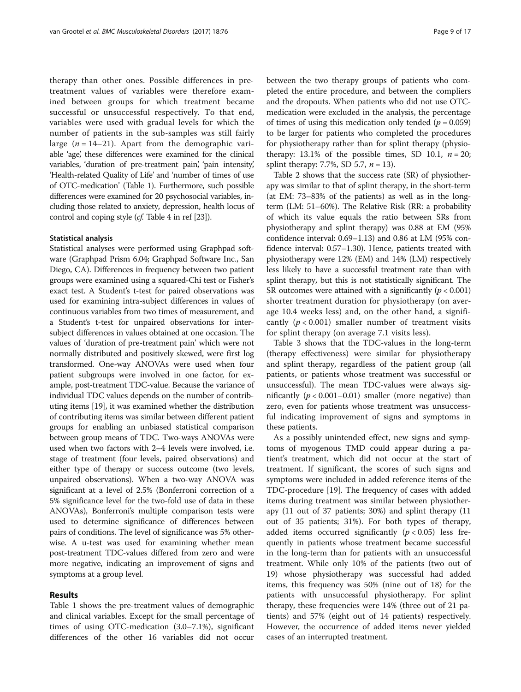<span id="page-8-0"></span>therapy than other ones. Possible differences in pretreatment values of variables were therefore examined between groups for which treatment became successful or unsuccessful respectively. To that end, variables were used with gradual levels for which the number of patients in the sub-samples was still fairly large  $(n = 14-21)$ . Apart from the demographic variable 'age', these differences were examined for the clinical variables, 'duration of pre-treatment pain,' 'pain intensity,' 'Health-related Quality of Life' and 'number of times of use of OTC-medication' (Table [1](#page-4-0)). Furthermore, such possible differences were examined for 20 psychosocial variables, including those related to anxiety, depression, health locus of control and coping style (cf. Table [4](#page-10-0) in ref [[23](#page-16-0)]).

### Statistical analysis

Statistical analyses were performed using Graphpad software (Graphpad Prism 6.04; Graphpad Software Inc., San Diego, CA). Differences in frequency between two patient groups were examined using a squared-Chi test or Fisher's exact test. A Student's t-test for paired observations was used for examining intra-subject differences in values of continuous variables from two times of measurement, and a Student's t-test for unpaired observations for intersubject differences in values obtained at one occasion. The values of 'duration of pre-treatment pain' which were not normally distributed and positively skewed, were first log transformed. One-way ANOVAs were used when four patient subgroups were involved in one factor, for example, post-treatment TDC-value. Because the variance of individual TDC values depends on the number of contributing items [[19](#page-16-0)], it was examined whether the distribution of contributing items was similar between different patient groups for enabling an unbiased statistical comparison between group means of TDC. Two-ways ANOVAs were used when two factors with 2–4 levels were involved, i.e. stage of treatment (four levels, paired observations) and either type of therapy or success outcome (two levels, unpaired observations). When a two-way ANOVA was significant at a level of 2.5% (Bonferroni correction of a 5% significance level for the two-fold use of data in these ANOVAs), Bonferroni's multiple comparison tests were used to determine significance of differences between pairs of conditions. The level of significance was 5% otherwise. A u-test was used for examining whether mean post-treatment TDC-values differed from zero and were more negative, indicating an improvement of signs and symptoms at a group level.

## Results

Table [1](#page-4-0) shows the pre-treatment values of demographic and clinical variables. Except for the small percentage of times of using OTC-medication (3.0–7.1%), significant differences of the other 16 variables did not occur between the two therapy groups of patients who completed the entire procedure, and between the compliers and the dropouts. When patients who did not use OTCmedication were excluded in the analysis, the percentage of times of using this medication only tended ( $p = 0.059$ ) to be larger for patients who completed the procedures for physiotherapy rather than for splint therapy (physiotherapy: 13.1% of the possible times, SD 10.1,  $n = 20$ ; splint therapy: 7.7%, SD 5.7,  $n = 13$ ).

Table [2](#page-9-0) shows that the success rate (SR) of physiotherapy was similar to that of splint therapy, in the short-term (at EM: 73–83% of the patients) as well as in the longterm (LM: 51–60%). The Relative Risk (RR: a probability of which its value equals the ratio between SRs from physiotherapy and splint therapy) was 0.88 at EM (95% confidence interval: 0.69–1.13) and 0.86 at LM (95% confidence interval: 0.57–1.30). Hence, patients treated with physiotherapy were 12% (EM) and 14% (LM) respectively less likely to have a successful treatment rate than with splint therapy, but this is not statistically significant. The SR outcomes were attained with a significantly ( $p < 0.001$ ) shorter treatment duration for physiotherapy (on average 10.4 weeks less) and, on the other hand, a significantly ( $p < 0.001$ ) smaller number of treatment visits for splint therapy (on average 7.1 visits less).

Table [3](#page-9-0) shows that the TDC-values in the long-term (therapy effectiveness) were similar for physiotherapy and splint therapy, regardless of the patient group (all patients, or patients whose treatment was successful or unsuccessful). The mean TDC-values were always significantly  $(p < 0.001 - 0.01)$  smaller (more negative) than zero, even for patients whose treatment was unsuccessful indicating improvement of signs and symptoms in these patients.

As a possibly unintended effect, new signs and symptoms of myogenous TMD could appear during a patient's treatment, which did not occur at the start of treatment. If significant, the scores of such signs and symptoms were included in added reference items of the TDC-procedure [[19](#page-16-0)]. The frequency of cases with added items during treatment was similar between physiotherapy (11 out of 37 patients; 30%) and splint therapy (11 out of 35 patients; 31%). For both types of therapy, added items occurred significantly  $(p < 0.05)$  less frequently in patients whose treatment became successful in the long-term than for patients with an unsuccessful treatment. While only 10% of the patients (two out of 19) whose physiotherapy was successful had added items, this frequency was 50% (nine out of 18) for the patients with unsuccessful physiotherapy. For splint therapy, these frequencies were 14% (three out of 21 patients) and 57% (eight out of 14 patients) respectively. However, the occurrence of added items never yielded cases of an interrupted treatment.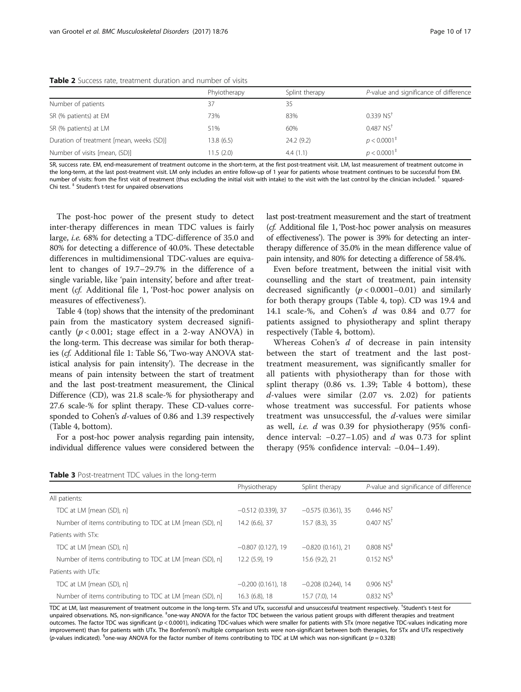<span id="page-9-0"></span>

| Table 2 Success rate, treatment duration and number of visits |  |  |
|---------------------------------------------------------------|--|--|
|---------------------------------------------------------------|--|--|

|                                          | Phyiotherapy | Splint therapy | P-value and significance of difference |
|------------------------------------------|--------------|----------------|----------------------------------------|
| Number of patients                       | 37           | 35             |                                        |
| SR (% patients) at EM                    | 73%          | 83%            | $0.339$ NS <sup>+</sup>                |
| SR (% patients) at LM                    | 51%          | 60%            | $0.487$ NS <sup>+</sup>                |
| Duration of treatment [mean, weeks (SD)] | 13.8 (6.5)   | 24.2(9.2)      | $p < 0.0001^+$                         |
| Number of visits [mean, (SD)]            | 1.5(2.0)     | 4.4(1.1)       | $p < 0.0001^+$                         |

SR, success rate. EM, end-measurement of treatment outcome in the short-term, at the first post-treatment visit. LM, last measurement of treatment outcome in the long-term, at the last post-treatment visit. LM only includes an entire follow-up of 1 year for patients whose treatment continues to be successful from EM. number of visits: from the first visit of treatment (thus excluding the initial visit with intake) to the visit with the last control by the clinician included. <sup>†</sup> squared-Chi test. ‡ Student's t-test for unpaired observations

The post-hoc power of the present study to detect inter-therapy differences in mean TDC values is fairly large, i.e. 68% for detecting a TDC-difference of 35.0 and 80% for detecting a difference of 40.0%. These detectable differences in multidimensional TDC-values are equivalent to changes of 19.7–29.7% in the difference of a single variable, like 'pain intensity', before and after treatment (cf. Additional file [1,](#page-15-0) 'Post-hoc power analysis on measures of effectiveness').

Table [4](#page-10-0) (top) shows that the intensity of the predominant pain from the masticatory system decreased significantly  $(p < 0.001$ ; stage effect in a 2-way ANOVA) in the long-term. This decrease was similar for both therapies (cf. Additional file [1](#page-15-0): Table S6, 'Two-way ANOVA statistical analysis for pain intensity'). The decrease in the means of pain intensity between the start of treatment and the last post-treatment measurement, the Clinical Difference (CD), was 21.8 scale-% for physiotherapy and 27.6 scale-% for splint therapy. These CD-values corresponded to Cohen's d-values of 0.86 and 1.39 respectively (Table [4](#page-10-0), bottom).

For a post-hoc power analysis regarding pain intensity, individual difference values were considered between the last post-treatment measurement and the start of treatment (cf. Additional file [1,](#page-15-0) 'Post-hoc power analysis on measures of effectiveness'). The power is 39% for detecting an intertherapy difference of 35.0% in the mean difference value of pain intensity, and 80% for detecting a difference of 58.4%.

Even before treatment, between the initial visit with counselling and the start of treatment, pain intensity decreased significantly  $(p < 0.0001 - 0.01)$  and similarly for both therapy groups (Table [4](#page-10-0), top). CD was 19.4 and 14.1 scale-%, and Cohen's d was 0.84 and 0.77 for patients assigned to physiotherapy and splint therapy respectively (Table [4](#page-10-0), bottom).

Whereas Cohen's  $d$  of decrease in pain intensity between the start of treatment and the last posttreatment measurement, was significantly smaller for all patients with physiotherapy than for those with splint therapy (0.86 vs. 1.39; Table [4](#page-10-0) bottom), these  $d$ -values were similar (2.07 vs. 2.02) for patients whose treatment was successful. For patients whose treatment was unsuccessful, the d-values were similar as well, i.e. d was 0.39 for physiotherapy (95% confidence interval:  $-0.27-1.05$ ) and d was 0.73 for splint therapy (95% confidence interval: −0.04–1.49).

|  | Table 3 Post-treatment TDC values in the long-term |  |  |  |
|--|----------------------------------------------------|--|--|--|
|  |                                                    |  |  |  |

|                                                          | Physiotherapy        | Splint therapy       | P-value and significance of difference |
|----------------------------------------------------------|----------------------|----------------------|----------------------------------------|
| All patients:                                            |                      |                      |                                        |
| TDC at LM [mean (SD), n]                                 | $-0.512$ (0.339), 37 | $-0.575(0.361), 35$  | $0.446$ NS <sup>+</sup>                |
| Number of items contributing to TDC at LM [mean (SD), n] | 14.2 (6.6), 37       | 15.7 (8.3), 35       | $0.407$ NS <sup>+</sup>                |
| Patients with STx:                                       |                      |                      |                                        |
| TDC at LM [mean (SD), n]                                 | $-0.807(0.127)$ , 19 | $-0.820(0.161)$ , 21 | $0.808$ NS <sup>‡</sup>                |
| Number of items contributing to TDC at LM [mean (SD), n] | 12.2 (5.9), 19       | 15.6 (9.2), 21       | $0.152$ NS <sup>§</sup>                |
| Patients with UTx:                                       |                      |                      |                                        |
| TDC at LM [mean (SD), n]                                 | $-0.200$ (0.161), 18 | $-0.208$ (0.244), 14 | $0.906$ NS <sup>‡</sup>                |
| Number of items contributing to TDC at LM [mean (SD), n] | 16.3 (6.8), 18       | 15.7 (7.0). 14       | $0.832$ NS <sup>§</sup>                |

TDC at LM, last measurement of treatment outcome in the long-term. STx and UTx, successful and unsuccessful treatment respectively. <sup>†</sup>Student's t-test for unpaired observations. NS, non-significance. <sup>‡</sup>one-way ANOVA for the factor TDC between the various patient groups with different therapies and treatment outcomes. The factor TDC was significant  $(p < 0.0001)$ , indicating TDC-values which were smaller for patients with STx (more negative TDC-values indicating more improvement) than for patients with UTx. The Bonferroni's multiple comparison tests were non-significant between both therapies, for STx and UTx respectively (p-values indicated). <sup>§</sup>one-way ANOVA for the factor number of items contributing to TDC at LM which was non-significant (p = 0.328)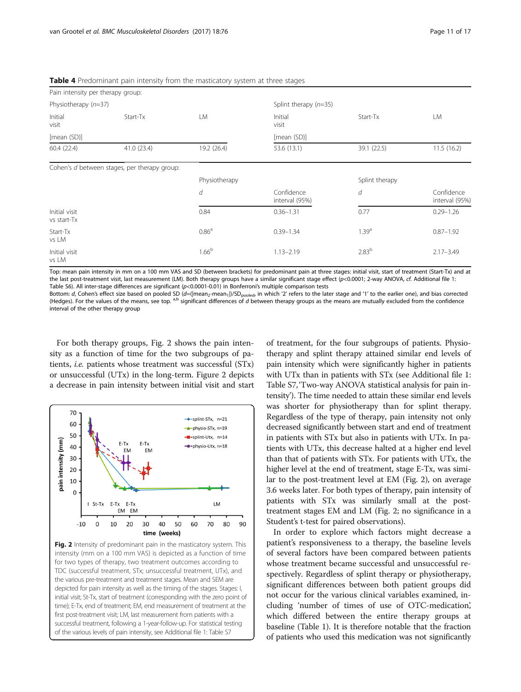| Pain intensity per therapy group: |                                              |                   |                              |                |                              |
|-----------------------------------|----------------------------------------------|-------------------|------------------------------|----------------|------------------------------|
| Physiotherapy $(n=37)$            |                                              |                   | Splint therapy $(n=35)$      |                |                              |
| Initial<br>visit                  | Start-Tx                                     | <b>LM</b>         | Initial<br>visit             | Start-Tx       | LM                           |
| [mean (SD)]                       |                                              |                   | [mean (SD)]                  |                |                              |
| 60.4 (22.4)                       | 41.0 (23.4)                                  | 19.2 (26.4)       | 53.6 (13.1)                  | 39.1 (22.5)    | 11.5(16.2)                   |
|                                   | Cohen's d between stages, per therapy group: |                   |                              |                |                              |
|                                   |                                              | Physiotherapy     |                              | Splint therapy |                              |
|                                   |                                              | d                 | Confidence<br>interval (95%) | d              | Confidence<br>interval (95%) |
| Initial visit<br>vs start-Tx      |                                              | 0.84              | $0.36 - 1.31$                | 0.77           | $0.29 - 1.26$                |
| Start-Tx                          |                                              | 0.86 <sup>a</sup> | $0.39 - 1.34$                | $1.39^{a}$     | $0.87 - 1.92$                |

<span id="page-10-0"></span>Table 4 Predominant pain intensity from the masticatory system at three stages

Top: mean pain intensity in mm on a 100 mm VAS and SD (between brackets) for predominant pain at three stages: initial visit, start of treatment (Start-Tx) and at the last post-treatment visit, last measurement (LM). Both therapy groups have a similar significant stage effect ( $p$ <0.0001; 2-way ANOVA, cf. Additional file [1:](#page-15-0) Table S6). All inter-stage differences are significant (p<0.0001-0.01) in Bonferroni's multiple comparison tests

1.66<sup>b</sup> 1.13–2.19 2.83<sup>b</sup> 2.17–3.49

Bottom: d, Cohen's effect size based on pooled SD (d=(|mean<sub>2</sub>-mean<sub>1</sub>|)/SD<sub>pooled</sub>, in which '2' refers to the later stage and '1' to the earlier one), and bias corrected (Hedges). For the values of the means, see top. <sup>a,b</sup> significant differences of d between therapy groups as the means are mutually excluded from the confidence interval of the other therapy group

For both therapy groups, Fig. 2 shows the pain intensity as a function of time for the two subgroups of patients, i.e. patients whose treatment was successful (STx) or unsuccessful (UTx) in the long-term. Figure 2 depicts a decrease in pain intensity between initial visit and start

vs LM

Initial visit vs LM



of treatment, for the four subgroups of patients. Physiotherapy and splint therapy attained similar end levels of pain intensity which were significantly higher in patients with UTx than in patients with STx (see Additional file [1](#page-15-0): Table S7,'Two-way ANOVA statistical analysis for pain intensity'). The time needed to attain these similar end levels was shorter for physiotherapy than for splint therapy. Regardless of the type of therapy, pain intensity not only decreased significantly between start and end of treatment in patients with STx but also in patients with UTx. In patients with UTx, this decrease halted at a higher end level than that of patients with STx. For patients with UTx, the higher level at the end of treatment, stage E-Tx, was similar to the post-treatment level at EM (Fig. 2), on average 3.6 weeks later. For both types of therapy, pain intensity of patients with STx was similarly small at the posttreatment stages EM and LM (Fig. 2; no significance in a Student's t-test for paired observations).

In order to explore which factors might decrease a patient's responsiveness to a therapy, the baseline levels of several factors have been compared between patients whose treatment became successful and unsuccessful respectively. Regardless of splint therapy or physiotherapy, significant differences between both patient groups did not occur for the various clinical variables examined, including 'number of times of use of OTC-medication', which differed between the entire therapy groups at baseline (Table [1](#page-4-0)). It is therefore notable that the fraction of patients who used this medication was not significantly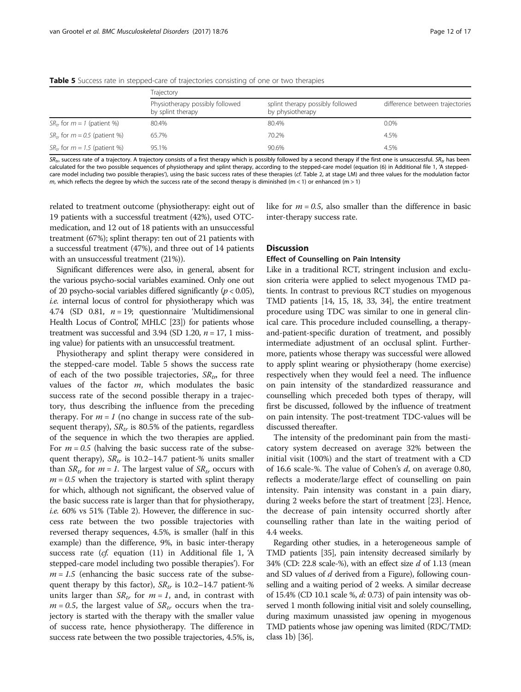|                                     | Trajectory                                           |                                                      |                                 |  |  |
|-------------------------------------|------------------------------------------------------|------------------------------------------------------|---------------------------------|--|--|
|                                     | Physiotherapy possibly followed<br>by splint therapy | splint therapy possibly followed<br>by physiotherapy | difference between trajectories |  |  |
| $SR_{tr}$ for $m = 1$ (patient %)   | 80.4%                                                | 80.4%                                                | $0.0\%$                         |  |  |
| $SR_{tr}$ for $m = 0.5$ (patient %) | 65.7%                                                | 70.2%                                                | 4.5%                            |  |  |
| $SR_{tr}$ for $m = 1.5$ (patient %) | 95.1%                                                | 90.6%                                                | 4.5%                            |  |  |

<span id="page-11-0"></span>**Table 5** Success rate in stepped-care of trajectories consisting of one or two therapies

SR<sub>tre</sub> success rate of a trajectory. A trajectory consists of a first therapy which is possibly followed by a second therapy if the first one is unsuccessful. SR<sub>tr</sub> has been calculated for the two possible sequences of physiotherapy and splint therapy, according to the stepped-care model (equation (6) in Additional file [1](#page-15-0), 'A stepped-care model including two possible therapies'), using the basic success rates of these therapies (cf. Table [2,](#page-9-0) at stage LM) and three values for the modulation factor m, which reflects the degree by which the success rate of the second therapy is diminished (m < 1) or enhanced (m > 1)

related to treatment outcome (physiotherapy: eight out of 19 patients with a successful treatment (42%), used OTCmedication, and 12 out of 18 patients with an unsuccessful treatment (67%); splint therapy: ten out of 21 patients with a successful treatment (47%), and three out of 14 patients with an unsuccessful treatment (21%)).

Significant differences were also, in general, absent for the various psycho-social variables examined. Only one out of 20 psycho-social variables differed significantly ( $p < 0.05$ ), i.e. internal locus of control for physiotherapy which was 4.74 (SD 0.81,  $n = 19$ ; questionnaire 'Multidimensional Health Locus of Control, MHLC [[23](#page-16-0)]) for patients whose treatment was successful and 3.94 (SD 1.20,  $n = 17$ , 1 missing value) for patients with an unsuccessful treatment.

Physiotherapy and splint therapy were considered in the stepped-care model. Table 5 shows the success rate of each of the two possible trajectories,  $SR<sub>tn</sub>$  for three values of the factor  $m$ , which modulates the basic success rate of the second possible therapy in a trajectory, thus describing the influence from the preceding therapy. For  $m=1$  (no change in success rate of the subsequent therapy),  $SR<sub>tr</sub>$  is 80.5% of the patients, regardless of the sequence in which the two therapies are applied. For  $m = 0.5$  (halving the basic success rate of the subsequent therapy),  $SR_{tr}$  is 10.2–14.7 patient-% units smaller than  $SR_{tr}$  for  $m = 1$ . The largest value of  $SR_{tr}$  occurs with  $m = 0.5$  when the trajectory is started with splint therapy for which, although not significant, the observed value of the basic success rate is larger than that for physiotherapy, i.e. 60% vs 51% (Table [2\)](#page-9-0). However, the difference in success rate between the two possible trajectories with reversed therapy sequences, 4.5%, is smaller (half in this example) than the difference, 9%, in basic inter-therapy success rate  $(cf.$  equation  $(11)$  in Additional file [1,](#page-15-0) 'A stepped-care model including two possible therapies'). For  $m = 1.5$  (enhancing the basic success rate of the subsequent therapy by this factor),  $SR_{tr}$  is 10.2–14.7 patient-% units larger than  $SR_{tr}$  for  $m=1$ , and, in contrast with  $m = 0.5$ , the largest value of  $SR<sub>tr</sub>$  occurs when the trajectory is started with the therapy with the smaller value of success rate, hence physiotherapy. The difference in success rate between the two possible trajectories, 4.5%, is, like for  $m = 0.5$ , also smaller than the difference in basic inter-therapy success rate.

## **Discussion**

## Effect of Counselling on Pain Intensity

Like in a traditional RCT, stringent inclusion and exclusion criteria were applied to select myogenous TMD patients. In contrast to previous RCT studies on myogenous TMD patients [[14](#page-16-0), [15, 18, 33, 34](#page-16-0)], the entire treatment procedure using TDC was similar to one in general clinical care. This procedure included counselling, a therapyand-patient-specific duration of treatment, and possibly intermediate adjustment of an occlusal splint. Furthermore, patients whose therapy was successful were allowed to apply splint wearing or physiotherapy (home exercise) respectively when they would feel a need. The influence on pain intensity of the standardized reassurance and counselling which preceded both types of therapy, will first be discussed, followed by the influence of treatment on pain intensity. The post-treatment TDC-values will be discussed thereafter.

The intensity of the predominant pain from the masticatory system decreased on average 32% between the initial visit (100%) and the start of treatment with a CD of 16.6 scale-%. The value of Cohen's d, on average 0.80, reflects a moderate/large effect of counselling on pain intensity. Pain intensity was constant in a pain diary, during 2 weeks before the start of treatment [\[23](#page-16-0)]. Hence, the decrease of pain intensity occurred shortly after counselling rather than late in the waiting period of 4.4 weeks.

Regarding other studies, in a heterogeneous sample of TMD patients [\[35](#page-16-0)], pain intensity decreased similarly by 34% (CD: 22.8 scale-%), with an effect size  $d$  of 1.13 (mean and SD values of d derived from a Figure), following counselling and a waiting period of 2 weeks. A similar decrease of 15.4% (CD 10.1 scale %,  $d: 0.73$ ) of pain intensity was observed 1 month following initial visit and solely counselling, during maximum unassisted jaw opening in myogenous TMD patients whose jaw opening was limited (RDC/TMD: class 1b) [[36](#page-16-0)].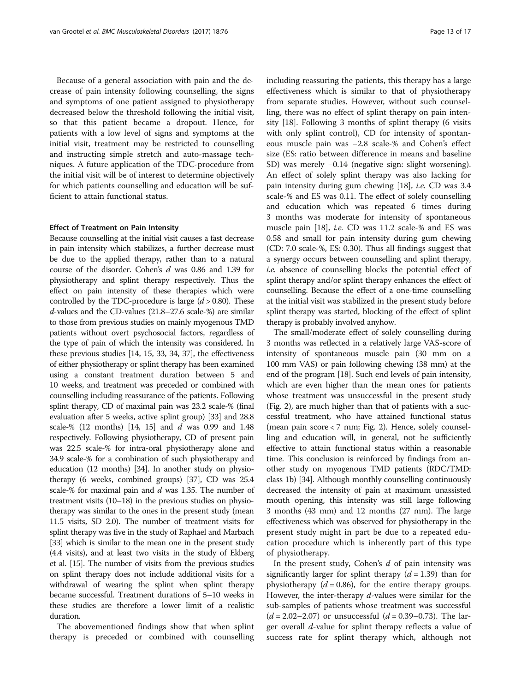Because of a general association with pain and the decrease of pain intensity following counselling, the signs and symptoms of one patient assigned to physiotherapy decreased below the threshold following the initial visit, so that this patient became a dropout. Hence, for patients with a low level of signs and symptoms at the initial visit, treatment may be restricted to counselling and instructing simple stretch and auto-massage techniques. A future application of the TDC-procedure from the initial visit will be of interest to determine objectively for which patients counselling and education will be sufficient to attain functional status.

#### Effect of Treatment on Pain Intensity

Because counselling at the initial visit causes a fast decrease in pain intensity which stabilizes, a further decrease must be due to the applied therapy, rather than to a natural course of the disorder. Cohen's d was 0.86 and 1.39 for physiotherapy and splint therapy respectively. Thus the effect on pain intensity of these therapies which were controlled by the TDC-procedure is large  $(d > 0.80)$ . These  $d$ -values and the CD-values (21.8–27.6 scale-%) are similar to those from previous studies on mainly myogenous TMD patients without overt psychosocial factors, regardless of the type of pain of which the intensity was considered. In these previous studies [[14](#page-16-0), [15, 33, 34](#page-16-0), [37\]](#page-16-0), the effectiveness of either physiotherapy or splint therapy has been examined using a constant treatment duration between 5 and 10 weeks, and treatment was preceded or combined with counselling including reassurance of the patients. Following splint therapy, CD of maximal pain was 23.2 scale-% (final evaluation after 5 weeks, active splint group) [[33](#page-16-0)] and 28.8 scale-% (12 months) [\[14, 15](#page-16-0)] and  $d$  was 0.99 and 1.48 respectively. Following physiotherapy, CD of present pain was 22.5 scale-% for intra-oral physiotherapy alone and 34.9 scale-% for a combination of such physiotherapy and education (12 months) [\[34\]](#page-16-0). In another study on physiotherapy (6 weeks, combined groups) [\[37\]](#page-16-0), CD was 25.4 scale-% for maximal pain and  $d$  was 1.35. The number of treatment visits (10–18) in the previous studies on physiotherapy was similar to the ones in the present study (mean 11.5 visits, SD 2.0). The number of treatment visits for splint therapy was five in the study of Raphael and Marbach [[33](#page-16-0)] which is similar to the mean one in the present study (4.4 visits), and at least two visits in the study of Ekberg et al. [\[15\]](#page-16-0). The number of visits from the previous studies on splint therapy does not include additional visits for a withdrawal of wearing the splint when splint therapy became successful. Treatment durations of 5–10 weeks in these studies are therefore a lower limit of a realistic duration.

The abovementioned findings show that when splint therapy is preceded or combined with counselling including reassuring the patients, this therapy has a large effectiveness which is similar to that of physiotherapy from separate studies. However, without such counselling, there was no effect of splint therapy on pain intensity [[18\]](#page-16-0). Following 3 months of splint therapy (6 visits with only splint control), CD for intensity of spontaneous muscle pain was −2.8 scale-% and Cohen's effect size (ES: ratio between difference in means and baseline SD) was merely −0.14 (negative sign: slight worsening). An effect of solely splint therapy was also lacking for pain intensity during gum chewing [\[18\]](#page-16-0), i.e. CD was 3.4 scale-% and ES was 0.11. The effect of solely counselling and education which was repeated 6 times during 3 months was moderate for intensity of spontaneous muscle pain [\[18](#page-16-0)], i.e. CD was 11.2 scale-% and ES was 0.58 and small for pain intensity during gum chewing (CD: 7.0 scale-%, ES: 0.30). Thus all findings suggest that a synergy occurs between counselling and splint therapy, i.e. absence of counselling blocks the potential effect of splint therapy and/or splint therapy enhances the effect of counselling. Because the effect of a one-time counselling at the initial visit was stabilized in the present study before splint therapy was started, blocking of the effect of splint therapy is probably involved anyhow.

The small/moderate effect of solely counselling during 3 months was reflected in a relatively large VAS-score of intensity of spontaneous muscle pain (30 mm on a 100 mm VAS) or pain following chewing (38 mm) at the end of the program [[18\]](#page-16-0). Such end levels of pain intensity, which are even higher than the mean ones for patients whose treatment was unsuccessful in the present study (Fig. [2](#page-10-0)), are much higher than that of patients with a successful treatment, who have attained functional status (mean pain score < 7 mm; Fig. [2](#page-10-0)). Hence, solely counselling and education will, in general, not be sufficiently effective to attain functional status within a reasonable time. This conclusion is reinforced by findings from another study on myogenous TMD patients (RDC/TMD: class 1b) [[34](#page-16-0)]. Although monthly counselling continuously decreased the intensity of pain at maximum unassisted mouth opening, this intensity was still large following 3 months (43 mm) and 12 months (27 mm). The large effectiveness which was observed for physiotherapy in the present study might in part be due to a repeated education procedure which is inherently part of this type of physiotherapy.

In the present study, Cohen's  $d$  of pain intensity was significantly larger for splint therapy  $(d = 1.39)$  than for physiotherapy  $(d = 0.86)$ , for the entire therapy groups. However, the inter-therapy d-values were similar for the sub-samples of patients whose treatment was successful  $(d = 2.02 - 2.07)$  or unsuccessful  $(d = 0.39 - 0.73)$ . The larger overall *d*-value for splint therapy reflects a value of success rate for splint therapy which, although not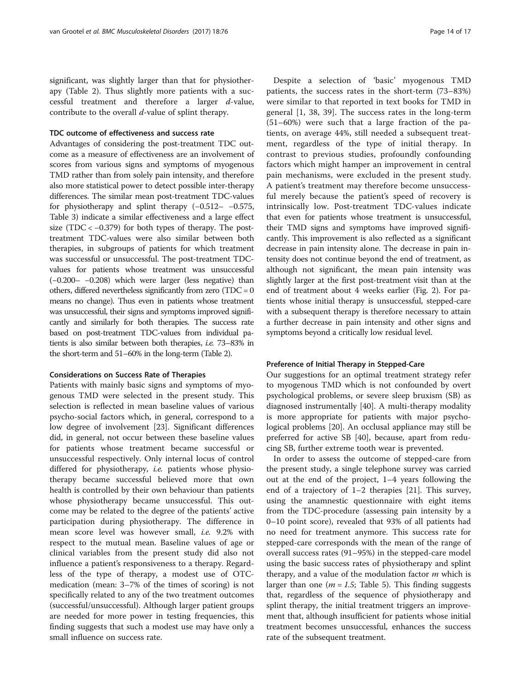significant, was slightly larger than that for physiotherapy (Table [2](#page-9-0)). Thus slightly more patients with a successful treatment and therefore a larger d-value, contribute to the overall d-value of splint therapy.

#### TDC outcome of effectiveness and success rate

Advantages of considering the post-treatment TDC outcome as a measure of effectiveness are an involvement of scores from various signs and symptoms of myogenous TMD rather than from solely pain intensity, and therefore also more statistical power to detect possible inter-therapy differences. The similar mean post-treatment TDC-values for physiotherapy and splint therapy (−0.512– −0.575, Table [3\)](#page-9-0) indicate a similar effectiveness and a large effect size  $(TDC < -0.379)$  for both types of therapy. The posttreatment TDC-values were also similar between both therapies, in subgroups of patients for which treatment was successful or unsuccessful. The post-treatment TDCvalues for patients whose treatment was unsuccessful (−0.200– −0.208) which were larger (less negative) than others, differed nevertheless significantly from zero  $(TDC = 0$ means no change). Thus even in patients whose treatment was unsuccessful, their signs and symptoms improved significantly and similarly for both therapies. The success rate based on post-treatment TDC-values from individual patients is also similar between both therapies, *i.e.* 73–83% in the short-term and 51–60% in the long-term (Table [2\)](#page-9-0).

#### Considerations on Success Rate of Therapies

Patients with mainly basic signs and symptoms of myogenous TMD were selected in the present study. This selection is reflected in mean baseline values of various psycho-social factors which, in general, correspond to a low degree of involvement [[23\]](#page-16-0). Significant differences did, in general, not occur between these baseline values for patients whose treatment became successful or unsuccessful respectively. Only internal locus of control differed for physiotherapy, i.e. patients whose physiotherapy became successful believed more that own health is controlled by their own behaviour than patients whose physiotherapy became unsuccessful. This outcome may be related to the degree of the patients' active participation during physiotherapy. The difference in mean score level was however small, i.e. 9.2% with respect to the mutual mean. Baseline values of age or clinical variables from the present study did also not influence a patient's responsiveness to a therapy. Regardless of the type of therapy, a modest use of OTCmedication (mean: 3–7% of the times of scoring) is not specifically related to any of the two treatment outcomes (successful/unsuccessful). Although larger patient groups are needed for more power in testing frequencies, this finding suggests that such a modest use may have only a small influence on success rate.

Despite a selection of 'basic' myogenous TMD patients, the success rates in the short-term (73–83%) were similar to that reported in text books for TMD in general [\[1](#page-15-0), [38](#page-16-0), [39\]](#page-16-0). The success rates in the long-term (51–60%) were such that a large fraction of the patients, on average 44%, still needed a subsequent treatment, regardless of the type of initial therapy. In contrast to previous studies, profoundly confounding factors which might hamper an improvement in central pain mechanisms, were excluded in the present study. A patient's treatment may therefore become unsuccessful merely because the patient's speed of recovery is intrinsically low. Post-treatment TDC-values indicate that even for patients whose treatment is unsuccessful, their TMD signs and symptoms have improved significantly. This improvement is also reflected as a significant decrease in pain intensity alone. The decrease in pain intensity does not continue beyond the end of treatment, as although not significant, the mean pain intensity was slightly larger at the first post-treatment visit than at the end of treatment about 4 weeks earlier (Fig. [2](#page-10-0)). For patients whose initial therapy is unsuccessful, stepped-care with a subsequent therapy is therefore necessary to attain a further decrease in pain intensity and other signs and symptoms beyond a critically low residual level.

#### Preference of Initial Therapy in Stepped-Care

Our suggestions for an optimal treatment strategy refer to myogenous TMD which is not confounded by overt psychological problems, or severe sleep bruxism (SB) as diagnosed instrumentally [[40](#page-16-0)]. A multi-therapy modality is more appropriate for patients with major psychological problems [[20\]](#page-16-0). An occlusal appliance may still be preferred for active SB [[40\]](#page-16-0), because, apart from reducing SB, further extreme tooth wear is prevented.

In order to assess the outcome of stepped-care from the present study, a single telephone survey was carried out at the end of the project, 1–4 years following the end of a trajectory of 1–2 therapies [\[21](#page-16-0)]. This survey, using the anamnestic questionnaire with eight items from the TDC-procedure (assessing pain intensity by a 0–10 point score), revealed that 93% of all patients had no need for treatment anymore. This success rate for stepped-care corresponds with the mean of the range of overall success rates (91–95%) in the stepped-care model using the basic success rates of physiotherapy and splint therapy, and a value of the modulation factor  $m$  which is larger than one ( $m = 1.5$ ; Table [5\)](#page-11-0). This finding suggests that, regardless of the sequence of physiotherapy and splint therapy, the initial treatment triggers an improvement that, although insufficient for patients whose initial treatment becomes unsuccessful, enhances the success rate of the subsequent treatment.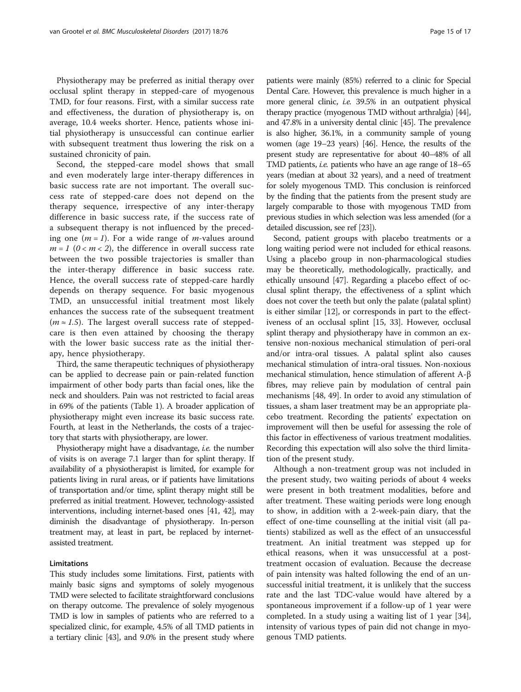Physiotherapy may be preferred as initial therapy over occlusal splint therapy in stepped-care of myogenous TMD, for four reasons. First, with a similar success rate and effectiveness, the duration of physiotherapy is, on average, 10.4 weeks shorter. Hence, patients whose initial physiotherapy is unsuccessful can continue earlier with subsequent treatment thus lowering the risk on a sustained chronicity of pain.

Second, the stepped-care model shows that small and even moderately large inter-therapy differences in basic success rate are not important. The overall success rate of stepped-care does not depend on the therapy sequence, irrespective of any inter-therapy difference in basic success rate, if the success rate of a subsequent therapy is not influenced by the preceding one  $(m=1)$ . For a wide range of *m*-values around  $m=1$  ( $0 < m < 2$ ), the difference in overall success rate between the two possible trajectories is smaller than the inter-therapy difference in basic success rate. Hence, the overall success rate of stepped-care hardly depends on therapy sequence. For basic myogenous TMD, an unsuccessful initial treatment most likely enhances the success rate of the subsequent treatment  $(m \approx 1.5)$ . The largest overall success rate of steppedcare is then even attained by choosing the therapy with the lower basic success rate as the initial therapy, hence physiotherapy.

Third, the same therapeutic techniques of physiotherapy can be applied to decrease pain or pain-related function impairment of other body parts than facial ones, like the neck and shoulders. Pain was not restricted to facial areas in 69% of the patients (Table [1](#page-4-0)). A broader application of physiotherapy might even increase its basic success rate. Fourth, at least in the Netherlands, the costs of a trajectory that starts with physiotherapy, are lower.

Physiotherapy might have a disadvantage, i.e. the number of visits is on average 7.1 larger than for splint therapy. If availability of a physiotherapist is limited, for example for patients living in rural areas, or if patients have limitations of transportation and/or time, splint therapy might still be preferred as initial treatment. However, technology-assisted interventions, including internet-based ones [\[41](#page-16-0), [42\]](#page-16-0), may diminish the disadvantage of physiotherapy. In-person treatment may, at least in part, be replaced by internetassisted treatment.

## Limitations

This study includes some limitations. First, patients with mainly basic signs and symptoms of solely myogenous TMD were selected to facilitate straightforward conclusions on therapy outcome. The prevalence of solely myogenous TMD is low in samples of patients who are referred to a specialized clinic, for example, 4.5% of all TMD patients in a tertiary clinic [[43](#page-16-0)], and 9.0% in the present study where

patients were mainly (85%) referred to a clinic for Special Dental Care. However, this prevalence is much higher in a more general clinic, *i.e.* 39.5% in an outpatient physical therapy practice (myogenous TMD without arthralgia) [\[44](#page-16-0)], and 47.8% in a university dental clinic [[45](#page-16-0)]. The prevalence is also higher, 36.1%, in a community sample of young women (age 19–23 years) [\[46\]](#page-16-0). Hence, the results of the present study are representative for about 40–48% of all TMD patients, i.e. patients who have an age range of 18–65 years (median at about 32 years), and a need of treatment for solely myogenous TMD. This conclusion is reinforced by the finding that the patients from the present study are largely comparable to those with myogenous TMD from previous studies in which selection was less amended (for a detailed discussion, see ref [\[23](#page-16-0)]).

Second, patient groups with placebo treatments or a long waiting period were not included for ethical reasons. Using a placebo group in non-pharmacological studies may be theoretically, methodologically, practically, and ethically unsound [\[47\]](#page-16-0). Regarding a placebo effect of occlusal splint therapy, the effectiveness of a splint which does not cover the teeth but only the palate (palatal splint) is either similar [[12](#page-16-0)], or corresponds in part to the effectiveness of an occlusal splint [[15](#page-16-0), [33](#page-16-0)]. However, occlusal splint therapy and physiotherapy have in common an extensive non-noxious mechanical stimulation of peri-oral and/or intra-oral tissues. A palatal splint also causes mechanical stimulation of intra-oral tissues. Non-noxious mechanical stimulation, hence stimulation of afferent A-β fibres, may relieve pain by modulation of central pain mechanisms [[48](#page-16-0), [49\]](#page-16-0). In order to avoid any stimulation of tissues, a sham laser treatment may be an appropriate placebo treatment. Recording the patients' expectation on improvement will then be useful for assessing the role of this factor in effectiveness of various treatment modalities. Recording this expectation will also solve the third limitation of the present study.

Although a non-treatment group was not included in the present study, two waiting periods of about 4 weeks were present in both treatment modalities, before and after treatment. These waiting periods were long enough to show, in addition with a 2-week-pain diary, that the effect of one-time counselling at the initial visit (all patients) stabilized as well as the effect of an unsuccessful treatment. An initial treatment was stepped up for ethical reasons, when it was unsuccessful at a posttreatment occasion of evaluation. Because the decrease of pain intensity was halted following the end of an unsuccessful initial treatment, it is unlikely that the success rate and the last TDC-value would have altered by a spontaneous improvement if a follow-up of 1 year were completed. In a study using a waiting list of 1 year [\[34](#page-16-0)], intensity of various types of pain did not change in myogenous TMD patients.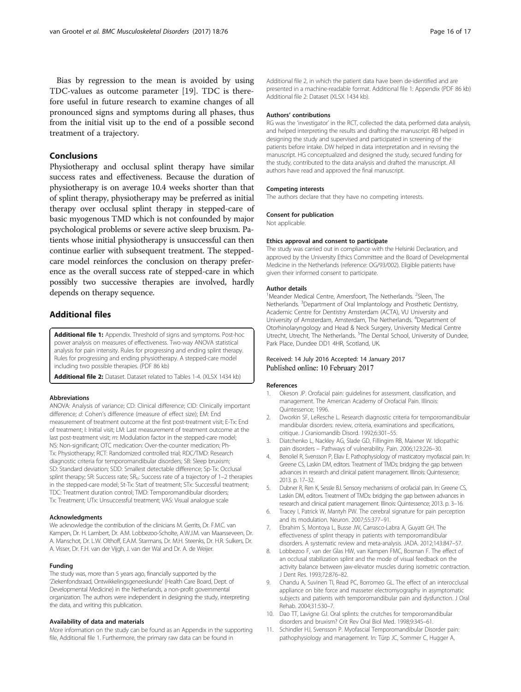<span id="page-15-0"></span>Bias by regression to the mean is avoided by using TDC-values as outcome parameter [\[19](#page-16-0)]. TDC is therefore useful in future research to examine changes of all pronounced signs and symptoms during all phases, thus from the initial visit up to the end of a possible second treatment of a trajectory.

## Conclusions

Physiotherapy and occlusal splint therapy have similar success rates and effectiveness. Because the duration of physiotherapy is on average 10.4 weeks shorter than that of splint therapy, physiotherapy may be preferred as initial therapy over occlusal splint therapy in stepped-care of basic myogenous TMD which is not confounded by major psychological problems or severe active sleep bruxism. Patients whose initial physiotherapy is unsuccessful can then continue earlier with subsequent treatment. The steppedcare model reinforces the conclusion on therapy preference as the overall success rate of stepped-care in which possibly two successive therapies are involved, hardly depends on therapy sequence.

## Additional files

[Additional file 1:](dx.doi.org/10.1186/s12891-017-1404-9) Appendix. Threshold of signs and symptoms. Post-hoc power analysis on measures of effectiveness. Two-way ANOVA statistical analysis for pain intensity. Rules for progressing and ending splint therapy. Rules for progressing and ending physiotherapy. A stepped-care model including two possible therapies. (PDF 86 kb)

[Additional file 2:](dx.doi.org/10.1186/s12891-017-1404-9) Dataset. Dataset related to Tables 1-4. (XLSX 1434 kb)

#### Abbreviations

ANOVA: Analysis of variance; CD: Clinical difference; CID: Clinically important difference; d: Cohen's difference (measure of effect size); EM: End measurement of treatment outcome at the first post-treatment visit; E-Tx: End of treatment; I: Initial visit; LM: Last measurement of treatment outcome at the last post-treatment visit; m: Modulation factor in the stepped-care model; NS: Non-significant; OTC medication: Over-the-counter medication; Ph-Tx: Physiotherapy; RCT: Randomized controlled trial; RDC/TMD: Research diagnostic criteria for temporomandibular disorders; SB: Sleep bruxism; SD: Standard deviation; SDD: Smallest detectable difference; Sp-Tx: Occlusal splint therapy; SR: Success rate;  $SR<sub>tr</sub>$ : Success rate of a trajectory of 1–2 therapies in the stepped-care model; St-Tx: Start of treatment; STx: Successful treatment; TDC: Treatment duration control; TMD: Temporomandibular disorders; Tx: Treatment; UTx: Unsuccessful treatment; VAS: Visual analogue scale

#### Acknowledgments

We acknowledge the contribution of the clinicians M. Gerrits, Dr. F.M.C. van Kampen, Dr. H. Lambert, Dr. A.M. Lobbezoo-Scholte, A.W.J.M. van Maarsseveen, Dr. A. Manschot, Dr. L.W. Olthoff, E.A.M. Starmans, Dr. M.H. Steenks, Dr. H.R. Sulkers, Dr. A. Visser, Dr. F.H. van der Vijgh, J. van der Wal and Dr. A. de Weijer.

#### Funding

The study was, more than 5 years ago, financially supported by the 'Ziekenfondsraad, Ontwikkelingsgeneeskunde' (Health Care Board, Dept. of Developmental Medicine) in the Netherlands, a non-profit governmental organization. The authors were independent in designing the study, interpreting the data, and writing this publication.

#### Availability of data and materials

More information on the study can be found as an Appendix in the supporting file, Additional file 1. Furthermore, the primary raw data can be found in

Additional file 2, in which the patient data have been de-identified and are presented in a machine-readable format. Additional file 1: Appendix (PDF 86 kb) Additional file 2: Dataset (XLSX 1434 kb).

#### Authors' contributions

RG was the 'investigator' in the RCT, collected the data, performed data analysis, and helped interpreting the results and drafting the manuscript. RB helped in designing the study and supervised and participated in screening of the patients before intake. DW helped in data interpretation and in revising the manuscript. HG conceptualized and designed the study, secured funding for the study, contributed to the data analysis and drafted the manuscript. All authors have read and approved the final manuscript.

#### Competing interests

The authors declare that they have no competing interests.

#### Consent for publication

Not applicable.

#### Ethics approval and consent to participate

The study was carried out in compliance with the Helsinki Declaration, and approved by the University Ethics Committee and the Board of Developmental Medicine in the Netherlands (reference: OG/93/002). Eligible patients have given their informed consent to participate.

#### Author details

<sup>1</sup>Meander Medical Centre, Amersfoort, The Netherlands. <sup>2</sup>Sleen, The Netherlands. <sup>3</sup>Department of Oral Implantology and Prosthetic Dentistry, Academic Centre for Dentistry Amsterdam (ACTA), VU University and University of Amsterdam, Amsterdam, The Netherlands. <sup>4</sup> Department of Otorhinolaryngology and Head & Neck Surgery, University Medical Centre Utrecht, Utrecht, The Netherlands. <sup>5</sup>The Dental School, University of Dundee, Park Place, Dundee DD1 4HR, Scotland, UK.

### Received: 14 July 2016 Accepted: 14 January 2017 Published online: 10 February 2017

#### References

- 1. Okeson JP. Orofacial pain: guidelines for assessment, classification, and management. The American Academy of Orofacial Pain. Illinois: Quintessence; 1996.
- 2. Dworkin SF, LeResche L. Research diagnostic criteria for temporomandibular mandibular disorders: review, criteria, examinations and specifications, critique. J Craniomandib Disord. 1992;6:301–55.
- 3. Diatchenko L, Nackley AG, Slade GD, Fillingim RB, Maixner W. Idiopathic pain disorders – Pathways of vulnerability. Pain. 2006;123:226–30.
- 4. Benoliel R, Svensson P, Eliav E. Pathophysiology of masticatory myofascial pain. In: Greene CS, Laskin DM, editors. Treatment of TMDs: bridging the gap between advances in research and clinical patient management. Illinois: Quintessence; 2013. p. 17–32.
- 5. Dubner R, Ren K, Sessle BJ. Sensory mechanisms of orofacial pain. In: Greene CS, Laskin DM, editors. Treatment of TMDs: bridging the gap between advances in research and clinical patient management. Illinois: Quintessence; 2013. p. 3–16.
- 6. Tracey I, Patrick W, Mantyh PW. The cerebral signature for pain perception and its modulation. Neuron. 2007;55:377–91.
- 7. Ebrahim S, Montoya L, Busse JW, Carrasco-Labra A, Guyatt GH. The effectiveness of splint therapy in patients with temporomandibular disorders. A systematic review and meta-analysis. JADA. 2012;143:847–57.
- 8. Lobbezoo F, van der Glas HW, van Kampen FMC, Bosman F. The effect of an occlusal stabilization splint and the mode of visual feedback on the activity balance between jaw-elevator muscles during isometric contraction. J Dent Res. 1993;72:876–82.
- 9. Chandu A, Suvinen TI, Read PC, Borromeo GL. The effect of an interocclusal appliance on bite force and masseter electromyography in asymptomatic subjects and patients with temporomandibular pain and dysfunction. J Oral Rehab. 2004;31:530–7.
- 10. Dao TT, Lavigne GJ. Oral splints: the crutches for temporomandibular disorders and bruxism? Crit Rev Oral Biol Med. 1998;9:345–61.
- 11. Schindler HJ, Svensson P. Myofascial Temporomandibular Disorder pain: pathophysiology and management. In: Türp JC, Sommer C, Hugger A,